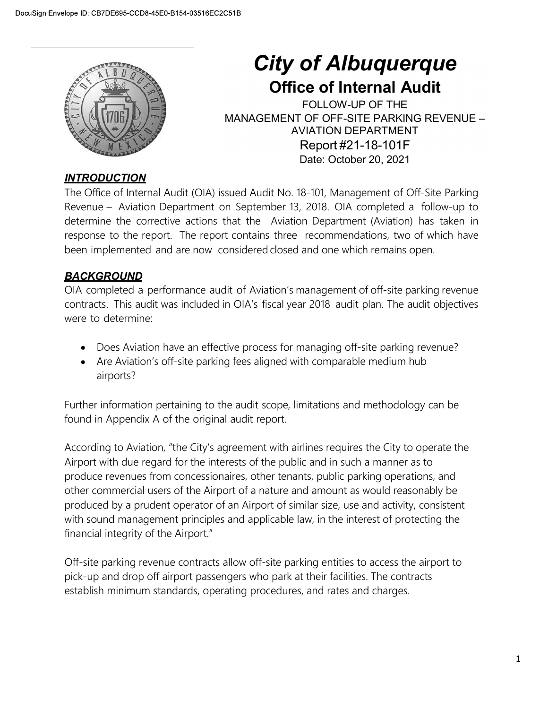

# City of Albuquerque

**ity of Albuquerque**<br> **Office of Internal Audit<br>
FOLLOW-UP OF THE<br>
EMENT OF OFF-SITE PARKING REVENUE –<br>
AVIATION DEPARTMENT<br>
Report #21-18-101F of Albuquerque<br>
CONTRIGE CONTRIGUATE: CONTRIGUATION DEPARKING REVENUE -<br>
CONTRIGUATION DEPARKING REVENUE -<br>
CONTRIGUATION DEPARTMENT<br>
Report #21-18-101F<br>
Date: October 20, 2021** City of Albuquerque<br>
Office of Internal Audit<br>
FOLLOW-UP OF THE<br>
MANAGEMENT OF OFF-SITE PARKING REVENUE –<br>
AVIATION DEPARTMENT<br>
Report #21-18-101F<br>
Date: October 20, 2021 AVIATION DEPARTMENT **of Albuquerque**<br> **ce of Internal Audit**<br>
FOLLOW-UP OF THE<br>
OF OFF-SITE PARKING REVENUE –<br>
VIATION DEPARTMENT<br>
Report #21-18-101F<br>
Date: October 20, 2021<br>
8-101, Management of Off-Site Parking<br>
8-101, Management of Off-Sit **of Albuquerque**<br>
ce of Internal Audit<br>
FOLLOW-UP OF THE<br>
OF OFF-SITE PARKING REVENUE –<br>
VIATION DEPARTMENT<br>
Report #21-18-101F<br>
Date: October 20, 2021<br>
8-101, Management of Off-Site Parking<br>
2018. OIA completed a follow-u

## **INTRODUCTION**

City of Albuquerque<br>
Office of Internal Audit<br>
FOLLOW-UP OF THE<br>
MANAGEMENT OF OFF-SITE PARKING REVENUE<br>
MANAGEMENT OF OFF-SITE PARKING REVENUE<br>
NOMENCION<br>
INTRODUCTION<br>
The Office of Internal Audit (OIA) issued Audit No. Revenue – Aviation Department on September 13, 2018. ON COMPLET ON DEPARTMENT COLLOW-UP OF THE<br>
MANAGEMENT OF OFF-SITE PARKING REVENUE –<br>
MANAGEMENT OF OFF-SITE PARKING REVENUE –<br>
MANAGEMENT COMPLETE PARKING REVENUE –<br>
MED **City of Albuquerque**<br> **City of Albuquerque**<br> **Office of Internal Audit**<br>
FOLLOW-UP OF THE PARKING REVENUE -<br>
FOLLOW-UP OF COFF-SITE PARKING REVENUE -<br>
AVIATION DEPARTMENT<br>
Report #21-18-101F<br>
Department Corrective actions **City of Albuquerque**<br> **City of Albuquerque**<br> **OFFICE OF Internal Audit**<br>
FOLLOW-UP OF THE<br>
MANAGEMENT OF OFF-SITE PARKING REVENUE –<br>
MANAGEMENT OF THE PARKING REVENUE –<br> **AVIATION DEPARTMENT**<br>
Report #21-18-101F<br>
Date: Oc **City of Albuquerque**<br> **City of Albuquerque**<br> **Office of Internal Audit**<br>
FOLLOW-UP OF T-SITE PARKING REVENUE-<br>
MANAGEMENT OF OFF-SITE PARKING REVENUE-<br>
MANAGEMENT REPARKING REVENUE-<br>
THE Office of Internal Audit<br>
TRODUCTI **City of Albuquerque**<br> **Office of Internal Audit**<br>
FOLLOW-UP OF THE<br>
FOLLOW-UP OF THE PARKING REVENUE –<br>
AVIATION DEPARTMENT<br>
Report #21-18-101F<br>
Date: October 20, 2021<br>
The Office of Internal Audit (OIA) issued Audit No. Contracts. This audit COM issued Rundom DEPARTMON FOR THE<br>
MANAGEMENT OF OFF-SITE PARKING REVENUE –<br>
MANAGEMENT OF OFF-SITE PARKING REVENUE –<br>
NOIATION DEPARTMENT<br>
The Office of Internal Audit (OIA) issued Audit No. 18-101 **CHECAL CONSECT THE CONSECT THE SET AND ARREST THE PRIME THE PART AND TO DEPARTM<br>
MANAGEMENT OF OFF-SITE PARTM<br>
NEVERTOR CONSECT AND DEPARTM<br>
THE Office of Internal Audit (OIA) issued Audit No. 18-101, Management a<br>
Report INTRODUCTION**<br>The Office of Internal Audit (OIA) issued Audit No. 18-101, Management of Off-Site Parking<br>Revenue – Aviation Department on September 13, 2018. OIA completed a follow-up to<br>determine the corrective actions t The Office of Internal Audit (OIA) issued Audit No. 18-101, Management of Off-Site Parking<br>Revenue – Aviation Department on September 13, 2018. OIA completed a follow-up to<br>determine the corrective actions that the Aviatio

# **BACKGROUND**

- Does Aviation have an effective process for managing off-site parking revenue?
- Are Aviation's off-site parking fees aligned with comparable medium hub airports?

According to Aviation, "the City's agreement with airlines requires the City to operate the Airport with due regard for the interests of the public and in such a manner as to produce revenues from concessionaires, other tenants, public parking operations, and other commercial users of the Airport of a nature and amount as would reasonably be produced by a prudent operator of an Airport of similar size, use and activity, consistent with sound management principles and applicable law, in the interest of protecting the financial integrity of the Airport." • Does Aviation have an effective process for managing off-site parking revenue?<br>
• Are Aviation's off-site parking fees aligned with comparable medium hub<br>
airports?<br>
Further information pertaining to the audit scope, lim • Does Aviation have an effective process for managing off-site parking revenue?<br>• Are Aviation's off-site parking fees aligned with comparable medium hub<br>airports?<br>Further information pertaining to the audit scope, limita

establish minimum standards, operating procedures, and rates and charges.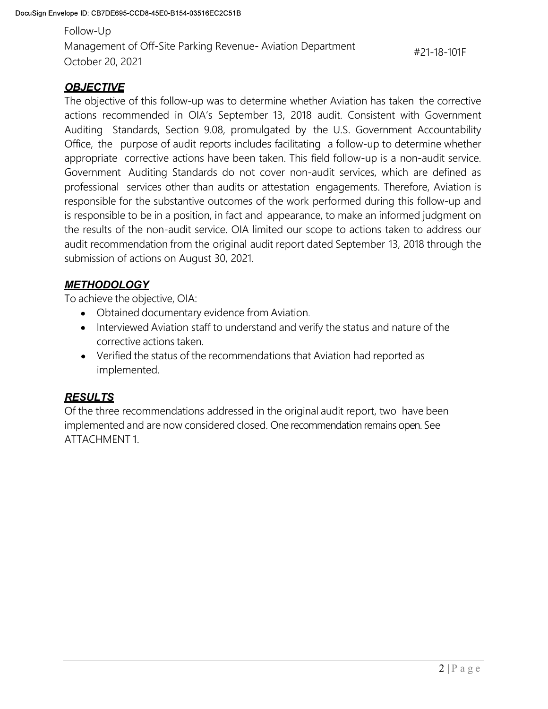Follow-Up Management of Off-Site Parking Revenue- Aviation Department<br>Management of Off-Site Parking Revenue- Aviation Department<br>October 20, 2021<br>**OBJECTIVE**<br>The objective of this follow-up was to determine whether Aviation has tak Management of Off-Site Parking Revenue-Aviation Department<br>Tollow-Up<br>Management of Off-Site Parking Revenue-Aviation Department<br>October 20, 2021<br>**OBJECTIVE**<br>The objective of this follow-up was to determine whether Aviation #21-18-101F

## **OBJECTIVE**

Iope ID: CB7DE695-CCD8-45E0-B154-03516EC2C51B<br>
Follow-Up<br>
Management of Off-Site Parking Revenue- Aviation Department<br>
The objective of this follow-up was to determine whether Aviation has taken the corrective<br>
actions rec boe ID: CB7DE695-CCD8-45E0-B154-03516EC2C51B<br>
Follow-Up<br>
Management of Off-Site Parking Revenue- Aviation Department<br>
OCtober 20, 2021<br>
The objective of this follow-up was to determine whether Aviation has taken the correc Iope ID: CB7DE695-CCD8-45E0-B154-03516EC2C51B<br>
Follow-Up<br>
Management of Off-Site Parking Revenue- Aviation Department<br>
The objective 20, 2021<br>
The objective of this follow-up was to determine whether Aviation has taken the Indeptive CB7DE695-CCD8-45E0-B154-03516EC2C51B<br>
Follow-Up<br>
Management of Off-Site Parking Revenue- Aviation Department<br>
OCtober 20, 2021<br> **OBJECTIVE**<br>
The objective of this follow-up was to determine whether Aviation has t bee ID: CB7DE695-CCD8-45E0-B154-03516EC2C51B<br>
Follow-Up<br>
Management of Off-Site Parking Revenue-Aviation Department<br>
The objective actions recommended in OIA's September 13, 2018 audit. Consistent with Government<br>
Auditing bee ID: CB70E695-CCD8-45E0-B154-03516Ec2CS1B<br>
Follow-Up<br>
Management of Off-Site Parking Revenue-Aviation Department<br>
20.118-101F<br> **OBJECTIVE**<br>
The objective of this follow-up was to determine whether Aviation has taken the bpe ID: CB7DE685-CCD8-4SEQ-B154-03516EC2CS1B<br>
Follow-Up<br>
Management of Off-Site Parking Revenue- Aviation Department<br>
The objective of this follow-up was to determine whether Aviation has taken the corrective<br>
The objectiv responsible for the Substantian of the substantian of the substantial of the substantial of the substantive of<br>the substantive of this follow-up was to determine whether Aviation has taken the corrective<br>The objective of t is responsible to conserve the Parking Revenue-Aviation Department and  $*21-18-101F$ <br> **CHOMAT 20.2021**<br> **CHOMAT 20.2021**<br> **CHOMAT 20.2021**<br> **CHOMAT 20.2021**<br> **CHOMAT 20.2021**<br> **CHOMAT 20.2021**<br>
and a conserved and a DIA's the results of the non-audit service. OIA limited our scope to actions taken to address our audit recommendation from the original audit report dated September 13, 2018 through the submission of actions on August 30, 2021. **OBJECTIVE**<br>
The objective of this follow-up was to determine whether Aviation has taken the<br>
actions recommended in OIA's September 13, 2018 audit. Consistent with<br>
Auditing Standards, Section 9.08, promulgated by the U.S **CTIVE**<br>
Signive of this follow-up was to determine whether Aviation has taken the corrective<br>
recommended in OIA's September 13, 2018 audit. Consistent with Government<br>
g Standards, Section 9.08, promulgated by the U.S. g Standards, Section 9.08, promulgated by the U.S. Government Accountability<br>the purpose of audit reports includes facilitating a a follow-up to determine whether<br>inite corrective actions have been taken. This field follow professional services other than audits or attestation engagements. Therefore, Aviation is<br>responsible for the substantive outcomes of the work performed during this follow-up and<br>is responsible to be in a position, in fac implemented is a material and are now considered closed. One recommendation remains open. See ATTACHMENT 1.<br>
In the results of the non-active consideration from the original and the results of the non-active of actions the

# **METHODOLOGY**

- 
- corrective actions taken.
- implemented.

## RESULTS

ATTACHMENT 1.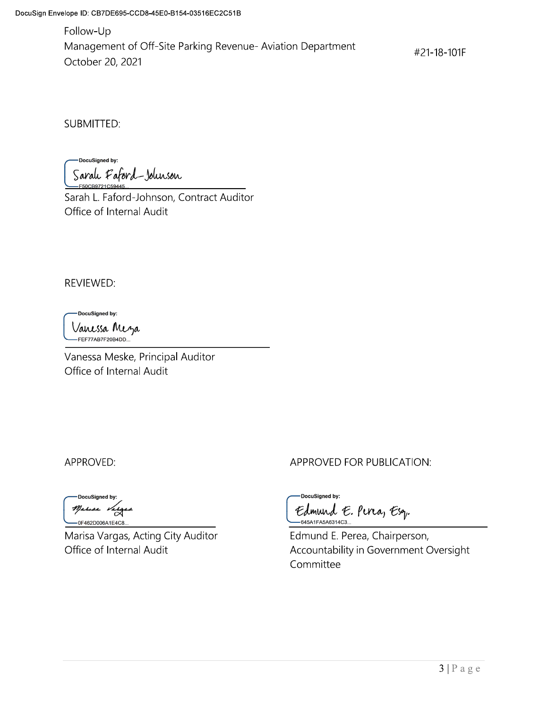Follow-Up Management of Off-Site Parking Revenue-Aviation Department October 20, 2021

#21-18-101F

**SUBMITTED:** 

DocuSigned by: Sarah Faford-Johnson

Sarah L. Faford-Johnson, Contract Auditor Office of Internal Audit

**REVIEWED:** 

DocuSigned by:

Vanessa Mezza<br>—FEF77AB7F20B4DD...

Vanessa Meske, Principal Auditor Office of Internal Audit

APPROVED:

DocuSigned by: Marisa Varg -0F462D006A1E4C8.

Marisa Vargas, Acting City Auditor Office of Internal Audit

APPROVED FOR PUBLICATION:

DocuSigned by: Edmund E. Perca, Esq. -645A1FA5A6314C3..

Edmund E. Perea, Chairperson, Accountability in Government Oversight Committee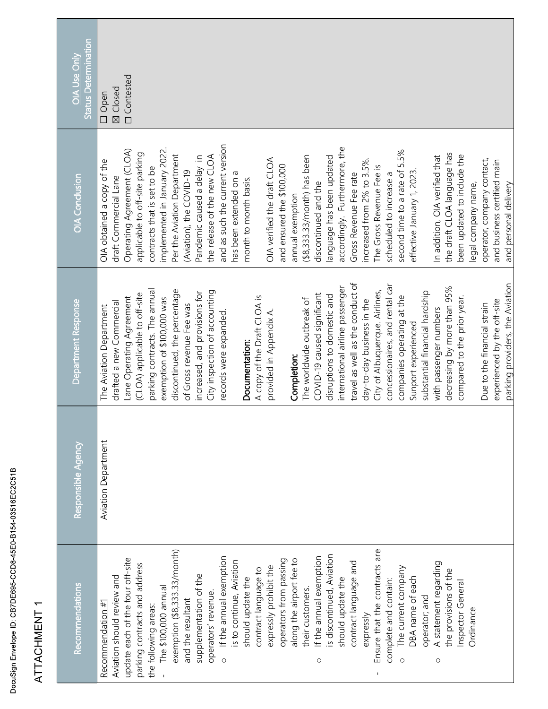| Recommendations                              | Responsible Agency         | Department Response                 | <b>OIA Conclusion</b>           | <b>Status Determination</b><br>OIA Use Only |
|----------------------------------------------|----------------------------|-------------------------------------|---------------------------------|---------------------------------------------|
| Recommendation $\#1$                         | <b>Aviation Department</b> | The Aviation Department             | OIA obtained a copy of the      | Open<br>$\Box$                              |
| Aviation should review and                   |                            | drafted a new Commercial            | draft Commercial Lane           | Closed<br>$\boxtimes$                       |
| update each of the four off-site             |                            | Lane Operating Agreement            | Operating Agreement (CLOA)      | <b>D</b> Contested                          |
| parking contracts and address                |                            | (CLOA) applicable to off-site       | applicable to off-site parking  |                                             |
| the following areas:                         |                            | parking contracts. The annual       | contracts that is set to be     |                                             |
| The \$100,000 annual                         |                            | exemption of \$100,000 was          | implemented in January 2022.    |                                             |
| exemption (\$8,333.33/month)                 |                            | discontinued, the percentage        | Per the Aviation Department     |                                             |
| and the resultant                            |                            | of Gross revenue Fee was            | (Aviation), the COVID-19        |                                             |
| supplementation of the                       |                            | increased, and provisions for       | Pandemic caused a delay in      |                                             |
| operators' revenue.                          |                            | City inspection of accounting       | the release of the new CLOA     |                                             |
| If the annual exemption<br>$\circ$           |                            | records were expanded.              | and as such the current version |                                             |
| is to continue, Aviation                     |                            |                                     | has been extended on a          |                                             |
| should update the                            |                            | Documentation:                      | month to month basis.           |                                             |
| contract language to                         |                            | A copy of the Draft CLOA is         |                                 |                                             |
| expressly prohibit the                       |                            | provided in Appendix A.             | OIA verified the draft CLOA     |                                             |
| operators from passing                       |                            |                                     | and ensured the \$100,000       |                                             |
| along the airport fee to                     |                            | Completion:                         | annual exemption                |                                             |
| their customers.                             |                            | The worldwide outbreak of           | $(48,333.33/morth)$ has been    |                                             |
| If the annual exemption<br>$\circ$           |                            | COVID-19 caused significant         | discontinued and the            |                                             |
| is discontinued, Aviation                    |                            | disruptions to domestic and         | language has been updated       |                                             |
| should update the                            |                            | passenger<br>international airline  | accordingly. Furthermore, the   |                                             |
| contract language and                        |                            | conduct of<br>travel as well as the | Gross Revenue Fee rate          |                                             |
|                                              |                            |                                     |                                 |                                             |
| expressly                                    |                            | day-to-day business in the          | increased from 2% to 3.5%.      |                                             |
| Ensure that the contracts are<br>$\mathbf I$ |                            | City of Albuquerque. Airlines,      | The Gross Revenue Fee is        |                                             |
| complete and contain:                        |                            | concessionaires, and rental car     | scheduled to increase a         |                                             |
| The current company<br>$\circ$               |                            | companies operating at the          | second time to a rate of 5.5%   |                                             |
| DBA name of each                             |                            | Sunport experienced                 | effective January 1, 2023.      |                                             |
| operator; and                                |                            | hardship<br>substantial financial   |                                 |                                             |
| A statement regarding<br>$\circ$             |                            | with passenger numbers              | In addition, OIA verified that  |                                             |
| the provisions of the                        |                            | decreasing by more than 95%         | the draft CLOA language has     |                                             |
| Inspector General                            |                            | compared to the prior year.         | been updated to include the     |                                             |
| Ordinance                                    |                            |                                     | legal company name,             |                                             |
|                                              |                            | strain<br>Due to the financial      | operator, company contact,      |                                             |
|                                              |                            | off-site<br>experienced by the      | and business certified main     |                                             |
|                                              |                            | parking providers, the Aviation     | and personal delivery           |                                             |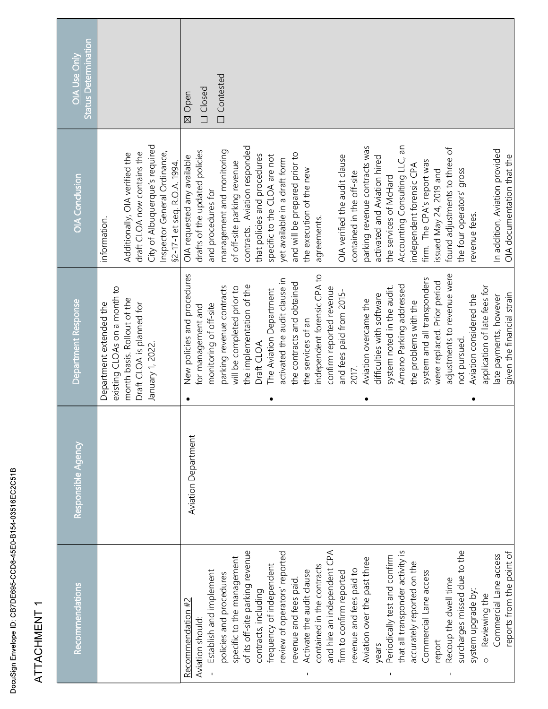| ATTACHMENT                                                                                                                                                                                                                                                                                                                                                                                                                                                                                                                                                                                                                                                                                                                                                                      |                            |                                                                                                                                                                                                                                                                                                                                                                                                                                                                                                                                                                                                                                                                                                                                                                                                          |                                                                                                                                                                                                                                                                                                                                                                                                                                                                                                                                                                                                                                                                                                                                                                                             |                                               |
|---------------------------------------------------------------------------------------------------------------------------------------------------------------------------------------------------------------------------------------------------------------------------------------------------------------------------------------------------------------------------------------------------------------------------------------------------------------------------------------------------------------------------------------------------------------------------------------------------------------------------------------------------------------------------------------------------------------------------------------------------------------------------------|----------------------------|----------------------------------------------------------------------------------------------------------------------------------------------------------------------------------------------------------------------------------------------------------------------------------------------------------------------------------------------------------------------------------------------------------------------------------------------------------------------------------------------------------------------------------------------------------------------------------------------------------------------------------------------------------------------------------------------------------------------------------------------------------------------------------------------------------|---------------------------------------------------------------------------------------------------------------------------------------------------------------------------------------------------------------------------------------------------------------------------------------------------------------------------------------------------------------------------------------------------------------------------------------------------------------------------------------------------------------------------------------------------------------------------------------------------------------------------------------------------------------------------------------------------------------------------------------------------------------------------------------------|-----------------------------------------------|
| Recommendations                                                                                                                                                                                                                                                                                                                                                                                                                                                                                                                                                                                                                                                                                                                                                                 | Responsible Agency         | Department Response                                                                                                                                                                                                                                                                                                                                                                                                                                                                                                                                                                                                                                                                                                                                                                                      | OIA Conclusion                                                                                                                                                                                                                                                                                                                                                                                                                                                                                                                                                                                                                                                                                                                                                                              | <b>Status Determination</b><br>OIA Use Only   |
|                                                                                                                                                                                                                                                                                                                                                                                                                                                                                                                                                                                                                                                                                                                                                                                 |                            | existing CLOAs on a month to<br>month basis. Rollout of the<br>Department extended the<br>Draft CLOA is planned for<br>January 1, 2022.                                                                                                                                                                                                                                                                                                                                                                                                                                                                                                                                                                                                                                                                  | City of Albuquerque's required<br>draft CLOA now contains the<br>Inspector General Ordinance,<br>Additionally, OIA verified the<br>17-1 et seq. R.O.A. 1994<br>information.<br>č,                                                                                                                                                                                                                                                                                                                                                                                                                                                                                                                                                                                                           |                                               |
| and hire an independent CPA<br>of its off-site parking revenue<br>that all transponder activity is<br>surcharges missed due to the<br>reports from the point of<br>review of operators' reported<br>Commercial Lane access<br>Periodically test and confirm<br>specific to the management<br>Aviation over the past three<br>accurately reported on the<br>frequency of independent<br>contained in the contracts<br>revenue and fees paid to<br>Commercial Lane access<br>Establish and implement<br>Activate the audit clause<br>firm to confirm reported<br>policies and procedures<br>revenue and fees paid.<br>Recoup the dwell time<br>system upgrade by:<br>contracts, including<br>Reviewing the<br>Recommendation #2<br>Aviation should:<br>report<br>years<br>$\circ$ | <b>Aviation Department</b> | New policies and procedures<br>independent forensic CPA to<br>adjustments to revenue were<br>system and all transponders<br>activated the audit clause in<br>the contracts and obtained<br>were replaced. Prior period<br>Amano Parking addressed<br>he implementation of the<br>application of late fees for<br>arking revenue contracts<br>vill be completed prior to<br>confirm reported revenue<br>system noted in the audit.<br>The Aviation Department<br>and fees paid from 2015-<br>given the financial strain<br>late payments, however<br>difficulties with software<br>Aviation considered the<br>Aviation overcame the<br>the problems with the<br>monitoring of off-site<br>for management and<br>the services of an<br>not pursued.<br>Draft CLOA.<br>2017.<br>$\bullet$<br>$\bullet$<br>٠ | Accounting Consulting LLC, an<br>contracts. Aviation responded<br>parking revenue contracts was<br>found adjustments to three of<br>In addition, Aviation provided<br>management and monitoring<br>drafts of the updated policies<br>and will be prepared prior to<br>that policies and procedures<br>OIA verified the audit clause<br>OIA requested any available<br>specific to the CLOA are not<br>OIA documentation that the<br>activated and Aviation hired<br>yet available in a draft form<br>firm. The CPA's report was<br>of off-site parking revenue<br>independent forensic CPA<br>the execution of the new<br>the four operators' gross<br>issued May 24, 2019 and<br>contained in the off-site<br>the services of McHard<br>and procedures for<br>revenue fees.<br>agreements. | $\Box$ Contested<br><b>D</b> Closed<br>⊠ Open |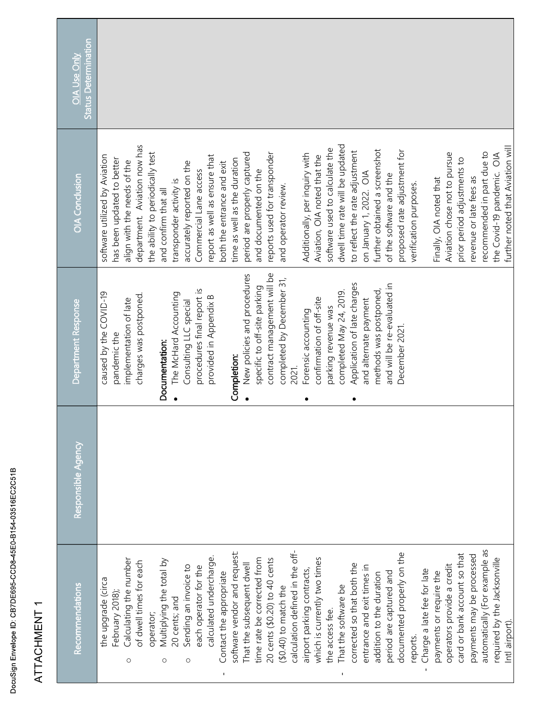| Recommendations                       | Responsible Agency | Department Response                    | OIA Conclusion                                              | <b>Status Determination</b><br><b>OIA Use Only</b> |
|---------------------------------------|--------------------|----------------------------------------|-------------------------------------------------------------|----------------------------------------------------|
| the upgrade (circa<br>February 2018), |                    | caused by the COVID-19<br>pandemic the | software utilized by Aviation<br>has been updated to better |                                                    |
| Calculating the number<br>$\circ$     |                    | implementation of late                 | align with the needs of the                                 |                                                    |
| of dwell times for each               |                    | charges was postponed.                 | department. Aviation now has                                |                                                    |
| Multiplying the total by<br>operator; |                    | Documentation:                         | the ability to periodically test<br>and confirm that all    |                                                    |
| 20 cents; and<br>$\circ$              |                    | The McHard Accounting                  | transponder activity is                                     |                                                    |
| Sending an invoice to<br>$\circ$      |                    | Consulting LLC special                 | accurately reported on the                                  |                                                    |
| each operator for the                 |                    | procedures final report is             | Commercial Lane access                                      |                                                    |
| calculated undercharge.               |                    | provided in Appendix B                 | report as well as ensure that                               |                                                    |
| Contact the appropriate               |                    |                                        | both the entrance and exit                                  |                                                    |
| software vendor and request:          |                    | Completion:                            | time as well as the duration                                |                                                    |
| That the subsequent dwell             |                    | New policies and procedures            | period are properly captured                                |                                                    |
| time rate be corrected from           |                    | specific to off-site parking           | and documented on the                                       |                                                    |
| 20 cents (\$0.20) to 40 cents         |                    | contract management will be            | reports used for transponder                                |                                                    |
| $(40.40)$ to match the                |                    | completed by December 31,              | and operator review.                                        |                                                    |
| calculation defined in the off-       |                    | 2021.                                  |                                                             |                                                    |
| airport parking contracts,            |                    | Forensic accounting<br>٠               | Additionally, per inquiry with                              |                                                    |
| which is currently two times          |                    | confirmation of off-site               | Aviation, OIA noted that the                                |                                                    |
| the access fee.                       |                    | parking revenue was                    | software used to calculate the                              |                                                    |
| That the software be                  |                    | completed May 24, 2019.                | dwell time rate will be updated                             |                                                    |
| corrected so that both the            |                    | Application of late charges<br>٠       | to reflect the rate adjustment                              |                                                    |
| entrance and exit times in            |                    | and alternate payment                  | on January 1, 2022. OIA                                     |                                                    |
| addition to the duration              |                    | methods was postponed,                 | further obtained a screenshot                               |                                                    |
| period are captured and               |                    | and will be re-evaluated in            | of the software and the                                     |                                                    |
| documented properly on the            |                    | December 2021.                         | proposed rate adjustment for                                |                                                    |
| reports.                              |                    |                                        | verification purposes.                                      |                                                    |
| Charge a late fee for late            |                    |                                        |                                                             |                                                    |
| payments or require the               |                    |                                        | Finally, OIA noted that                                     |                                                    |
| operators provide a credit            |                    |                                        | Aviation chose not to pursue                                |                                                    |
| card or bank account so that          |                    |                                        | prior period adjustments to                                 |                                                    |
| payments may be processed             |                    |                                        | revenue or late fees as                                     |                                                    |
| automatically (For example as         |                    |                                        | recommended in part due to                                  |                                                    |
| required by the Jacksonville          |                    |                                        | the Covid-19 pandemic. OIA                                  |                                                    |
| Intl airport).                        |                    |                                        | further noted that Aviation will                            |                                                    |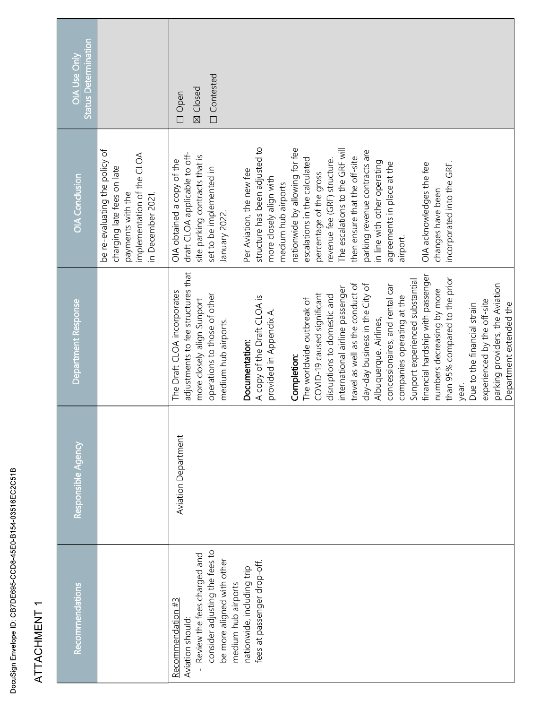| ATTACHMENT 1                                                                                                                         |                            |                                                                                                                                                         |                                                                                                                                            |                                             |
|--------------------------------------------------------------------------------------------------------------------------------------|----------------------------|---------------------------------------------------------------------------------------------------------------------------------------------------------|--------------------------------------------------------------------------------------------------------------------------------------------|---------------------------------------------|
| Recommendations                                                                                                                      | Responsible Agency         | Department Response                                                                                                                                     | OIA Conclusion                                                                                                                             | <b>Status Determination</b><br>OIA Use Only |
|                                                                                                                                      |                            |                                                                                                                                                         | be re-evaluating the policy of<br>implementation of the CLOA<br>charging late fees on late<br>payments with the<br>in December 2021.       |                                             |
| consider adjusting the fees to<br>Review the fees charged and<br>be more aligned with other<br>Recommendation #3<br>Aviation should: | <b>Aviation Department</b> | adjustments to fee structures that<br>The Draft CLOA incorporates<br>operations to those of other<br>more closely align Sunport<br>medium hub airports. | draft CLOA applicable to off-<br>site parking contracts that is<br>OIA obtained a copy of the<br>set to be implemented in<br>January 2022. | <b>Contested</b><br>⊠ Closed<br>$\Box$ Open |
| nationwide, including trip<br>medium hub airports                                                                                    |                            | Documentation:                                                                                                                                          | Per Aviation, the new fee                                                                                                                  |                                             |
| fees at passenger drop-off.                                                                                                          |                            | A copy of the Draft CLOA is                                                                                                                             | structure has been adjusted to                                                                                                             |                                             |
|                                                                                                                                      |                            | provided in Appendix A.                                                                                                                                 | more closely align with<br>medium hub airports                                                                                             |                                             |
|                                                                                                                                      |                            | Completion:                                                                                                                                             | nationwide by allowing for fee                                                                                                             |                                             |
|                                                                                                                                      |                            | The worldwide outbreak of                                                                                                                               | escalations in the calculated                                                                                                              |                                             |
|                                                                                                                                      |                            | COVID-19 caused significant                                                                                                                             | percentage of the gross                                                                                                                    |                                             |
|                                                                                                                                      |                            | disruptions to domestic and                                                                                                                             | revenue fee (GRF) structure.                                                                                                               |                                             |
|                                                                                                                                      |                            | international airline passenger                                                                                                                         | The escalations to the GRF will                                                                                                            |                                             |
|                                                                                                                                      |                            | travel as well as the conduct of                                                                                                                        | then ensure that the off-site                                                                                                              |                                             |
|                                                                                                                                      |                            | day-day business in the City of                                                                                                                         | parking revenue contracts are                                                                                                              |                                             |
|                                                                                                                                      |                            | Albuquerque. Airlines,                                                                                                                                  | in line with other operating                                                                                                               |                                             |
|                                                                                                                                      |                            | concessionaires, and rental car<br>companies operating at the                                                                                           | agreements in place at the<br>airport.                                                                                                     |                                             |
|                                                                                                                                      |                            | Sunport experienced substantial                                                                                                                         |                                                                                                                                            |                                             |
|                                                                                                                                      |                            | financial hardship with passenger                                                                                                                       | OIA acknowledges the fee                                                                                                                   |                                             |
|                                                                                                                                      |                            | numbers decreasing by more                                                                                                                              | changes have been                                                                                                                          |                                             |
|                                                                                                                                      |                            | than 95% compared to the prior                                                                                                                          | incorporated into the GRF.                                                                                                                 |                                             |
|                                                                                                                                      |                            | year.                                                                                                                                                   |                                                                                                                                            |                                             |
|                                                                                                                                      |                            | Due to the financial strain                                                                                                                             |                                                                                                                                            |                                             |
|                                                                                                                                      |                            | experienced by the off-site                                                                                                                             |                                                                                                                                            |                                             |
|                                                                                                                                      |                            | parking providers, the Aviation                                                                                                                         |                                                                                                                                            |                                             |
|                                                                                                                                      |                            | Department extended the                                                                                                                                 |                                                                                                                                            |                                             |